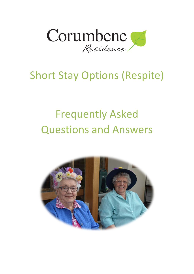

## Short Stay Options (Respite)

# Frequently Asked Questions and Answers

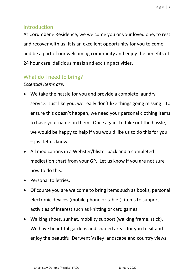## **Introduction**

At Corumbene Residence, we welcome you or your loved one, to rest and recover with us. It is an excellent opportunity for you to come and be a part of our welcoming community and enjoy the benefits of 24 hour care, delicious meals and exciting activities.

## What do I need to bring?

## *Essential items are:*

- We take the hassle for you and provide a complete laundry service. Just like you, we really don't like things going missing! To ensure this doesn't happen, we need your personal clothing items to have your name on them. Once again, to take out the hassle, we would be happy to help if you would like us to do this for you – just let us know.
- All medications in a Webster/blister pack and a completed medication chart from your GP. Let us know if you are not sure how to do this.
- Personal toiletries.
- Of course you are welcome to bring items such as books, personal electronic devices (mobile phone or tablet), items to support activities of interest such as knitting or card games.
- Walking shoes, sunhat, mobility support (walking frame, stick). We have beautiful gardens and shaded areas for you to sit and enjoy the beautiful Derwent Valley landscape and country views.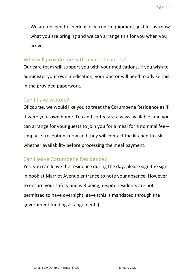We are obliged to check all electronic equipment, just let us know what you are bringing and we can arrange this for you when you arrive.

## Who will provide me with my medications?

Our care team will support you with your medications. If you wish to administer your own medication, your doctor will need to advise this in the provided paperwork.

## Can I have visitors?

Of course, we would like you to treat the Corumbene Residence as if it were your own home. Tea and coffee are always available, and you can arrange for your guests to join you for a meal for a nominal fee – simply let reception know and they will contact the kitchen to ask whether availability before processing the meal payment.

## Can I leave Corumbene Residence?

Yes, you can leave the residence during the day, please sign the signin book at Marriot Avenue entrance to note your absence. However to ensure your safety and wellbeing, respite residents are not permitted to have overnight leave (this is mandated through the government funding arrangements).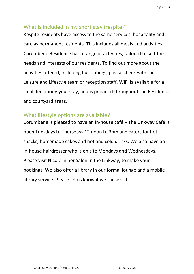## What is included in my short stay (respite)?

Respite residents have access to the same services, hospitality and care as permanent residents. This includes all meals and activities. Corumbene Residence has a range of activities, tailored to suit the needs and interests of our residents. To find out more about the activities offered, including bus outings, please check with the Leisure and Lifestyle team or reception staff. WIFI is available for a small fee during your stay, and is provided throughout the Residence and courtyard areas.

## What lifestyle options are available?

Corumbene is pleased to have an in-house café – The Linkway Café is open Tuesdays to Thursdays 12 noon to 3pm and caters for hot snacks, homemade cakes and hot and cold drinks. We also have an in-house hairdresser who is on site Mondays and Wednesdays. Please visit Nicole in her Salon in the Linkway, to make your bookings. We also offer a library in our formal lounge and a mobile library service. Please let us know if we can assist.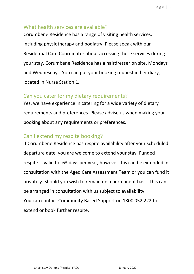#### Page | **5**

### What health services are available?

Corumbene Residence has a range of visiting health services, including physiotherapy and podiatry. Please speak with our Residential Care Coordinator about accessing these services during your stay. Corumbene Residence has a hairdresser on site, Mondays and Wednesdays. You can put your booking request in her diary, located in Nurse Station 1.

## Can you cater for my dietary requirements?

Yes, we have experience in catering for a wide variety of dietary requirements and preferences. Please advise us when making your booking about any requirements or preferences.

## Can I extend my respite booking?

If Corumbene Residence has respite availability after your scheduled departure date, you are welcome to extend your stay. Funded respite is valid for 63 days per year, however this can be extended in consultation with the Aged Care Assessment Team or you can fund it privately. Should you wish to remain on a permanent basis, this can be arranged in consultation with us subject to availability. You can contact Community Based Support on 1800 052 222 to extend or book further respite.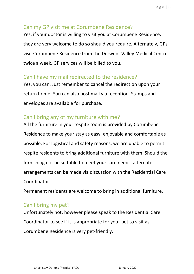## Can my GP visit me at Corumbene Residence?

Yes, if your doctor is willing to visit you at Corumbene Residence, they are very welcome to do so should you require. Alternately, GPs visit Corumbene Residence from the Derwent Valley Medical Centre twice a week. GP services will be billed to you.

## Can I have my mail redirected to the residence?

Yes, you can. Just remember to cancel the redirection upon your return home. You can also post mail via reception. Stamps and envelopes are available for purchase.

## Can I bring any of my furniture with me?

All the furniture in your respite room is provided by Corumbene Residence to make your stay as easy, enjoyable and comfortable as possible. For logistical and safety reasons, we are unable to permit respite residents to bring additional furniture with them. Should the furnishing not be suitable to meet your care needs, alternate arrangements can be made via discussion with the Residential Care Coordinator.

Permanent residents are welcome to bring in additional furniture.

## Can I bring my pet?

Unfortunately not, however please speak to the Residential Care Coordinator to see if it is appropriate for your pet to visit as Corumbene Residence is very pet-friendly.